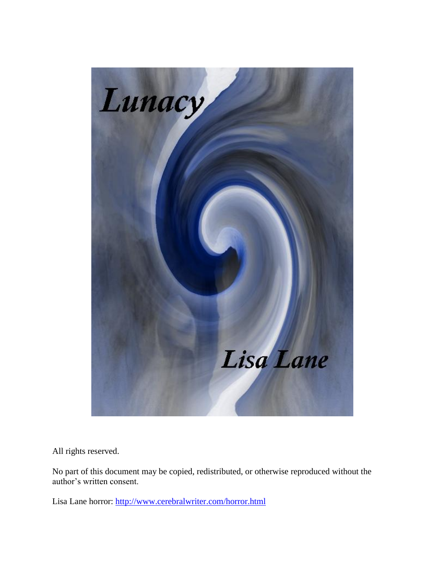

All rights reserved.

No part of this document may be copied, redistributed, or otherwise reproduced without the author's written consent.

Lisa Lane horror:<http://www.cerebralwriter.com/horror.html>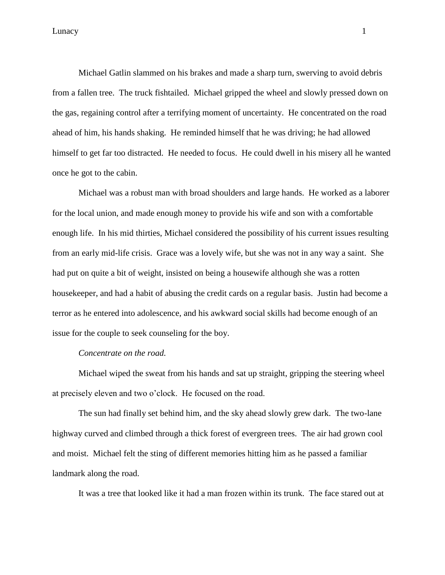Michael Gatlin slammed on his brakes and made a sharp turn, swerving to avoid debris from a fallen tree. The truck fishtailed. Michael gripped the wheel and slowly pressed down on the gas, regaining control after a terrifying moment of uncertainty. He concentrated on the road ahead of him, his hands shaking. He reminded himself that he was driving; he had allowed himself to get far too distracted. He needed to focus. He could dwell in his misery all he wanted once he got to the cabin.

Michael was a robust man with broad shoulders and large hands. He worked as a laborer for the local union, and made enough money to provide his wife and son with a comfortable enough life. In his mid thirties, Michael considered the possibility of his current issues resulting from an early mid-life crisis. Grace was a lovely wife, but she was not in any way a saint. She had put on quite a bit of weight, insisted on being a housewife although she was a rotten housekeeper, and had a habit of abusing the credit cards on a regular basis. Justin had become a terror as he entered into adolescence, and his awkward social skills had become enough of an issue for the couple to seek counseling for the boy.

### *Concentrate on the road.*

Michael wiped the sweat from his hands and sat up straight, gripping the steering wheel at precisely eleven and two o'clock. He focused on the road.

The sun had finally set behind him, and the sky ahead slowly grew dark. The two-lane highway curved and climbed through a thick forest of evergreen trees. The air had grown cool and moist. Michael felt the sting of different memories hitting him as he passed a familiar landmark along the road.

It was a tree that looked like it had a man frozen within its trunk. The face stared out at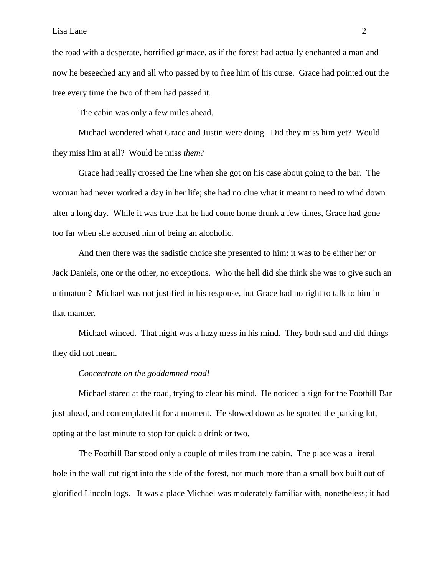#### Lisa Lane 2

the road with a desperate, horrified grimace, as if the forest had actually enchanted a man and now he beseeched any and all who passed by to free him of his curse. Grace had pointed out the tree every time the two of them had passed it.

The cabin was only a few miles ahead.

Michael wondered what Grace and Justin were doing. Did they miss him yet? Would they miss him at all? Would he miss *them*?

Grace had really crossed the line when she got on his case about going to the bar. The woman had never worked a day in her life; she had no clue what it meant to need to wind down after a long day. While it was true that he had come home drunk a few times, Grace had gone too far when she accused him of being an alcoholic.

And then there was the sadistic choice she presented to him: it was to be either her or Jack Daniels, one or the other, no exceptions. Who the hell did she think she was to give such an ultimatum? Michael was not justified in his response, but Grace had no right to talk to him in that manner.

Michael winced. That night was a hazy mess in his mind. They both said and did things they did not mean.

### *Concentrate on the goddamned road!*

Michael stared at the road, trying to clear his mind. He noticed a sign for the Foothill Bar just ahead, and contemplated it for a moment. He slowed down as he spotted the parking lot, opting at the last minute to stop for quick a drink or two.

The Foothill Bar stood only a couple of miles from the cabin. The place was a literal hole in the wall cut right into the side of the forest, not much more than a small box built out of glorified Lincoln logs. It was a place Michael was moderately familiar with, nonetheless; it had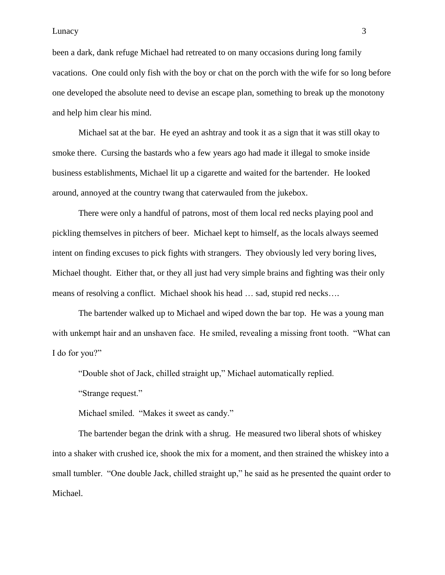been a dark, dank refuge Michael had retreated to on many occasions during long family vacations. One could only fish with the boy or chat on the porch with the wife for so long before one developed the absolute need to devise an escape plan, something to break up the monotony and help him clear his mind.

Michael sat at the bar. He eyed an ashtray and took it as a sign that it was still okay to smoke there. Cursing the bastards who a few years ago had made it illegal to smoke inside business establishments, Michael lit up a cigarette and waited for the bartender. He looked around, annoyed at the country twang that caterwauled from the jukebox.

There were only a handful of patrons, most of them local red necks playing pool and pickling themselves in pitchers of beer. Michael kept to himself, as the locals always seemed intent on finding excuses to pick fights with strangers. They obviously led very boring lives, Michael thought. Either that, or they all just had very simple brains and fighting was their only means of resolving a conflict. Michael shook his head … sad, stupid red necks….

The bartender walked up to Michael and wiped down the bar top. He was a young man with unkempt hair and an unshaven face. He smiled, revealing a missing front tooth. "What can I do for you?"

"Double shot of Jack, chilled straight up," Michael automatically replied.

―Strange request.‖

Michael smiled. "Makes it sweet as candy."

The bartender began the drink with a shrug. He measured two liberal shots of whiskey into a shaker with crushed ice, shook the mix for a moment, and then strained the whiskey into a small tumbler. "One double Jack, chilled straight up," he said as he presented the quaint order to Michael.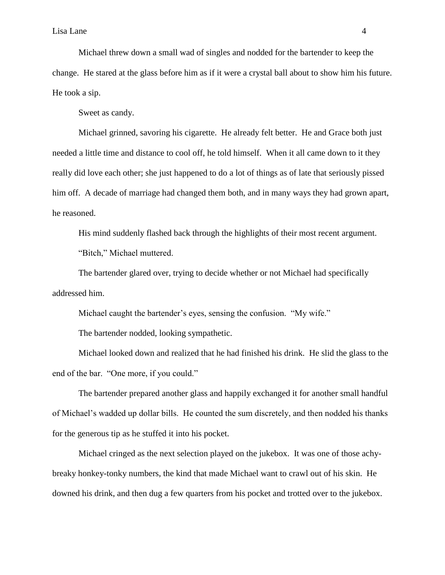Michael threw down a small wad of singles and nodded for the bartender to keep the change. He stared at the glass before him as if it were a crystal ball about to show him his future. He took a sip.

Sweet as candy.

Michael grinned, savoring his cigarette. He already felt better. He and Grace both just needed a little time and distance to cool off, he told himself. When it all came down to it they really did love each other; she just happened to do a lot of things as of late that seriously pissed him off. A decade of marriage had changed them both, and in many ways they had grown apart, he reasoned.

His mind suddenly flashed back through the highlights of their most recent argument.

"Bitch," Michael muttered.

The bartender glared over, trying to decide whether or not Michael had specifically addressed him.

Michael caught the bartender's eyes, sensing the confusion. "My wife."

The bartender nodded, looking sympathetic.

Michael looked down and realized that he had finished his drink. He slid the glass to the end of the bar. "One more, if you could."

The bartender prepared another glass and happily exchanged it for another small handful of Michael's wadded up dollar bills. He counted the sum discretely, and then nodded his thanks for the generous tip as he stuffed it into his pocket.

Michael cringed as the next selection played on the jukebox. It was one of those achybreaky honkey-tonky numbers, the kind that made Michael want to crawl out of his skin. He downed his drink, and then dug a few quarters from his pocket and trotted over to the jukebox.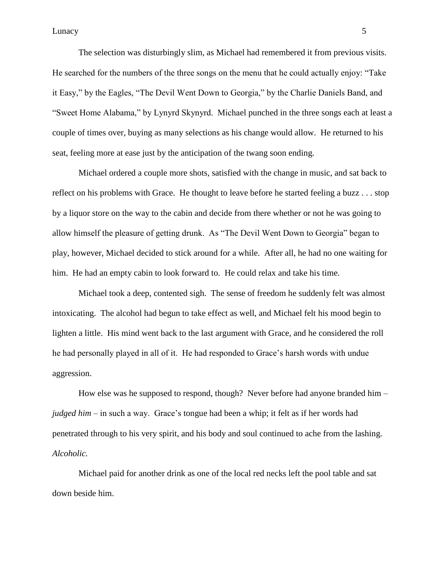Lunacy 5

The selection was disturbingly slim, as Michael had remembered it from previous visits. He searched for the numbers of the three songs on the menu that he could actually enjoy: "Take" it Easy," by the Eagles, "The Devil Went Down to Georgia," by the Charlie Daniels Band, and "Sweet Home Alabama," by Lynyrd Skynyrd. Michael punched in the three songs each at least a couple of times over, buying as many selections as his change would allow. He returned to his seat, feeling more at ease just by the anticipation of the twang soon ending.

Michael ordered a couple more shots, satisfied with the change in music, and sat back to reflect on his problems with Grace. He thought to leave before he started feeling a buzz . . . stop by a liquor store on the way to the cabin and decide from there whether or not he was going to allow himself the pleasure of getting drunk. As "The Devil Went Down to Georgia" began to play, however, Michael decided to stick around for a while. After all, he had no one waiting for him. He had an empty cabin to look forward to. He could relax and take his time.

Michael took a deep, contented sigh. The sense of freedom he suddenly felt was almost intoxicating. The alcohol had begun to take effect as well, and Michael felt his mood begin to lighten a little. His mind went back to the last argument with Grace, and he considered the roll he had personally played in all of it. He had responded to Grace's harsh words with undue aggression.

How else was he supposed to respond, though? Never before had anyone branded him – *judged him* – in such a way. Grace's tongue had been a whip; it felt as if her words had penetrated through to his very spirit, and his body and soul continued to ache from the lashing. *Alcoholic.*

Michael paid for another drink as one of the local red necks left the pool table and sat down beside him.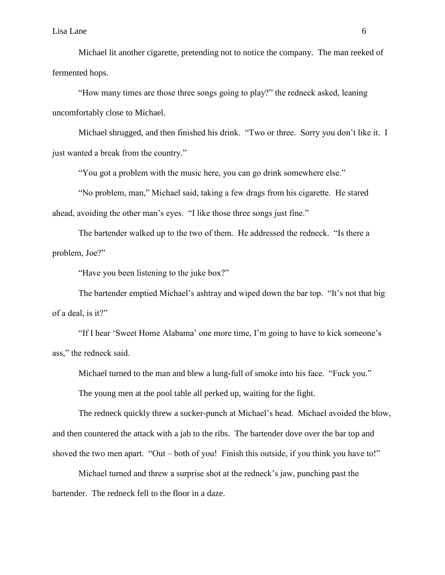Michael lit another cigarette, pretending not to notice the company. The man reeked of fermented hops.

"How many times are those three songs going to play?" the redneck asked, leaning uncomfortably close to Michael.

Michael shrugged, and then finished his drink. "Two or three. Sorry you don't like it. I just wanted a break from the country."

"You got a problem with the music here, you can go drink somewhere else."

"No problem, man," Michael said, taking a few drags from his cigarette. He stared ahead, avoiding the other man's eyes. "I like those three songs just fine."

The bartender walked up to the two of them. He addressed the redneck. "Is there a problem, Joe?"

"Have you been listening to the juke box?"

The bartender emptied Michael's ashtray and wiped down the bar top. "It's not that big of a deal, is it?"

"If I hear 'Sweet Home Alabama' one more time, I'm going to have to kick someone's ass," the redneck said.

Michael turned to the man and blew a lung-full of smoke into his face. "Fuck you."

The young men at the pool table all perked up, waiting for the fight.

The redneck quickly threw a sucker-punch at Michael's head. Michael avoided the blow, and then countered the attack with a jab to the ribs. The bartender dove over the bar top and shoved the two men apart. "Out – both of you! Finish this outside, if you think you have to!"

Michael turned and threw a surprise shot at the redneck's jaw, punching past the bartender. The redneck fell to the floor in a daze.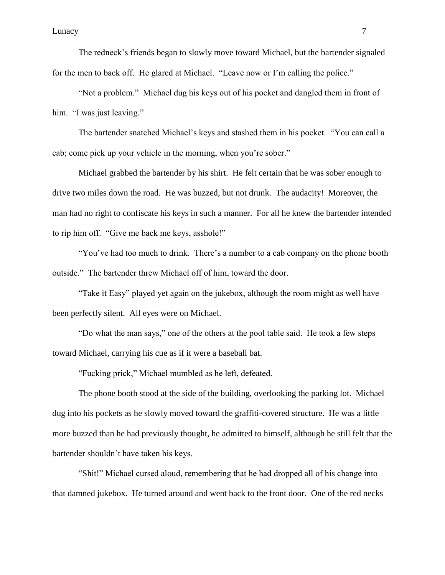The redneck's friends began to slowly move toward Michael, but the bartender signaled for the men to back off. He glared at Michael. "Leave now or I'm calling the police."

"Not a problem." Michael dug his keys out of his pocket and dangled them in front of him. "I was just leaving."

The bartender snatched Michael's keys and stashed them in his pocket. "You can call a cab; come pick up your vehicle in the morning, when you're sober."

Michael grabbed the bartender by his shirt. He felt certain that he was sober enough to drive two miles down the road. He was buzzed, but not drunk. The audacity! Moreover, the man had no right to confiscate his keys in such a manner. For all he knew the bartender intended to rip him off. "Give me back me keys, asshole!"

"You've had too much to drink. There's a number to a cab company on the phone booth outside." The bartender threw Michael off of him, toward the door.

"Take it Easy" played yet again on the jukebox, although the room might as well have been perfectly silent. All eyes were on Michael.

"Do what the man says," one of the others at the pool table said. He took a few steps toward Michael, carrying his cue as if it were a baseball bat.

"Fucking prick," Michael mumbled as he left, defeated.

The phone booth stood at the side of the building, overlooking the parking lot. Michael dug into his pockets as he slowly moved toward the graffiti-covered structure. He was a little more buzzed than he had previously thought, he admitted to himself, although he still felt that the bartender shouldn't have taken his keys.

―Shit!‖ Michael cursed aloud, remembering that he had dropped all of his change into that damned jukebox. He turned around and went back to the front door. One of the red necks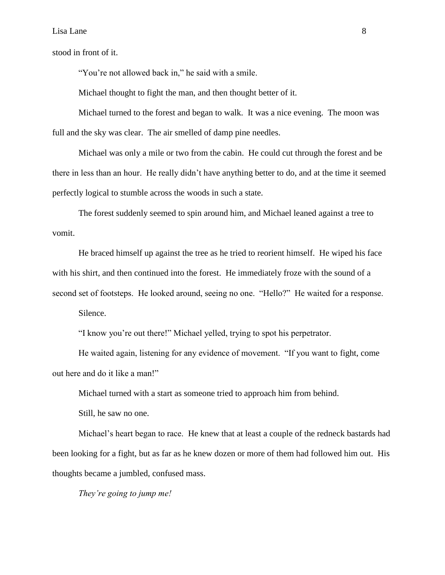stood in front of it.

"You're not allowed back in," he said with a smile.

Michael thought to fight the man, and then thought better of it.

Michael turned to the forest and began to walk. It was a nice evening. The moon was full and the sky was clear. The air smelled of damp pine needles.

Michael was only a mile or two from the cabin. He could cut through the forest and be there in less than an hour. He really didn't have anything better to do, and at the time it seemed perfectly logical to stumble across the woods in such a state.

The forest suddenly seemed to spin around him, and Michael leaned against a tree to vomit.

He braced himself up against the tree as he tried to reorient himself. He wiped his face with his shirt, and then continued into the forest. He immediately froze with the sound of a second set of footsteps. He looked around, seeing no one. "Hello?" He waited for a response.

Silence.

"I know you're out there!" Michael yelled, trying to spot his perpetrator.

He waited again, listening for any evidence of movement. "If you want to fight, come out here and do it like a man!"

Michael turned with a start as someone tried to approach him from behind.

Still, he saw no one.

Michael's heart began to race. He knew that at least a couple of the redneck bastards had been looking for a fight, but as far as he knew dozen or more of them had followed him out. His thoughts became a jumbled, confused mass.

*They're going to jump me!*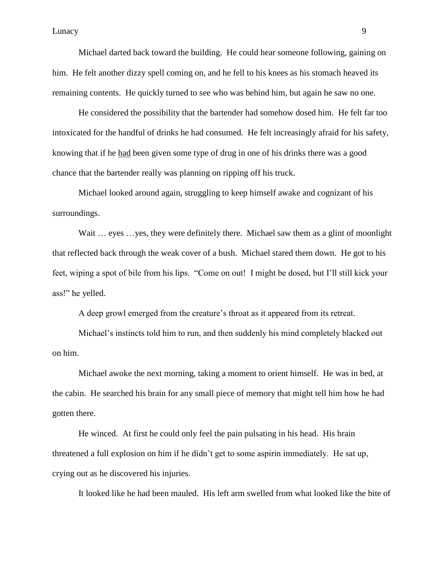Michael darted back toward the building. He could hear someone following, gaining on him. He felt another dizzy spell coming on, and he fell to his knees as his stomach heaved its remaining contents. He quickly turned to see who was behind him, but again he saw no one.

He considered the possibility that the bartender had somehow dosed him. He felt far too intoxicated for the handful of drinks he had consumed. He felt increasingly afraid for his safety, knowing that if he had been given some type of drug in one of his drinks there was a good chance that the bartender really was planning on ripping off his truck.

Michael looked around again, struggling to keep himself awake and cognizant of his surroundings.

Wait ... eyes ... yes, they were definitely there. Michael saw them as a glint of moonlight that reflected back through the weak cover of a bush. Michael stared them down. He got to his feet, wiping a spot of bile from his lips. "Come on out! I might be dosed, but I'll still kick your ass!" he yelled.

A deep growl emerged from the creature's throat as it appeared from its retreat.

Michael's instincts told him to run, and then suddenly his mind completely blacked out on him.

Michael awoke the next morning, taking a moment to orient himself. He was in bed, at the cabin. He searched his brain for any small piece of memory that might tell him how he had gotten there.

He winced. At first he could only feel the pain pulsating in his head. His brain threatened a full explosion on him if he didn't get to some aspirin immediately. He sat up, crying out as he discovered his injuries.

It looked like he had been mauled. His left arm swelled from what looked like the bite of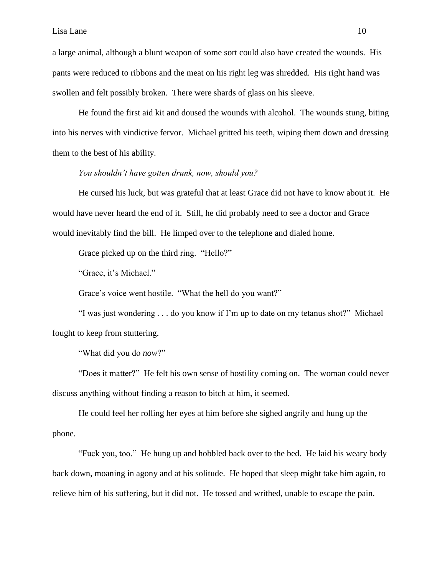a large animal, although a blunt weapon of some sort could also have created the wounds. His pants were reduced to ribbons and the meat on his right leg was shredded. His right hand was swollen and felt possibly broken. There were shards of glass on his sleeve.

He found the first aid kit and doused the wounds with alcohol. The wounds stung, biting into his nerves with vindictive fervor. Michael gritted his teeth, wiping them down and dressing them to the best of his ability.

## *You shouldn't have gotten drunk, now, should you?*

He cursed his luck, but was grateful that at least Grace did not have to know about it. He would have never heard the end of it. Still, he did probably need to see a doctor and Grace would inevitably find the bill. He limped over to the telephone and dialed home.

Grace picked up on the third ring. "Hello?"

"Grace, it's Michael."

Grace's voice went hostile. "What the hell do you want?"

"I was just wondering . . . do you know if I'm up to date on my tetanus shot?" Michael fought to keep from stuttering.

"What did you do *now*?"

"Does it matter?" He felt his own sense of hostility coming on. The woman could never discuss anything without finding a reason to bitch at him, it seemed.

He could feel her rolling her eyes at him before she sighed angrily and hung up the phone.

"Fuck you, too." He hung up and hobbled back over to the bed. He laid his weary body back down, moaning in agony and at his solitude. He hoped that sleep might take him again, to relieve him of his suffering, but it did not. He tossed and writhed, unable to escape the pain.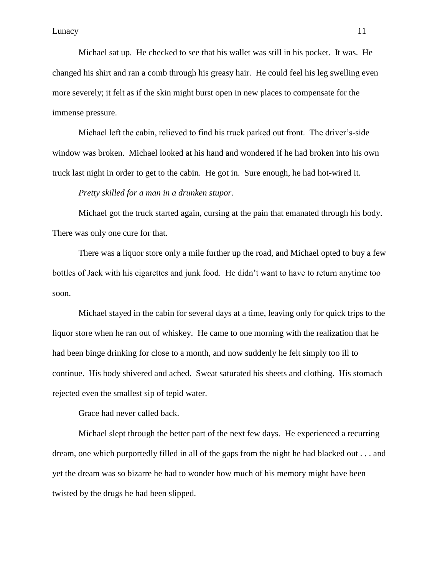Michael sat up. He checked to see that his wallet was still in his pocket. It was. He changed his shirt and ran a comb through his greasy hair. He could feel his leg swelling even more severely; it felt as if the skin might burst open in new places to compensate for the immense pressure.

Michael left the cabin, relieved to find his truck parked out front. The driver's-side window was broken. Michael looked at his hand and wondered if he had broken into his own truck last night in order to get to the cabin. He got in. Sure enough, he had hot-wired it.

*Pretty skilled for a man in a drunken stupor.*

Michael got the truck started again, cursing at the pain that emanated through his body. There was only one cure for that.

There was a liquor store only a mile further up the road, and Michael opted to buy a few bottles of Jack with his cigarettes and junk food. He didn't want to have to return anytime too soon.

Michael stayed in the cabin for several days at a time, leaving only for quick trips to the liquor store when he ran out of whiskey. He came to one morning with the realization that he had been binge drinking for close to a month, and now suddenly he felt simply too ill to continue. His body shivered and ached. Sweat saturated his sheets and clothing. His stomach rejected even the smallest sip of tepid water.

Grace had never called back.

Michael slept through the better part of the next few days. He experienced a recurring dream, one which purportedly filled in all of the gaps from the night he had blacked out . . . and yet the dream was so bizarre he had to wonder how much of his memory might have been twisted by the drugs he had been slipped.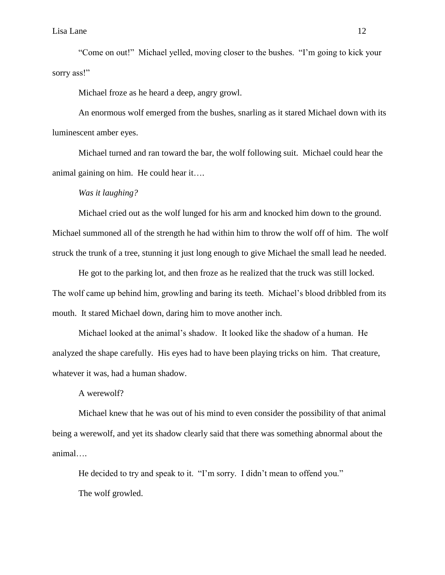"Come on out!" Michael yelled, moving closer to the bushes. "I'm going to kick your sorry ass!"

Michael froze as he heard a deep, angry growl.

An enormous wolf emerged from the bushes, snarling as it stared Michael down with its luminescent amber eyes.

Michael turned and ran toward the bar, the wolf following suit. Michael could hear the animal gaining on him. He could hear it….

# *Was it laughing?*

Michael cried out as the wolf lunged for his arm and knocked him down to the ground. Michael summoned all of the strength he had within him to throw the wolf off of him. The wolf struck the trunk of a tree, stunning it just long enough to give Michael the small lead he needed.

He got to the parking lot, and then froze as he realized that the truck was still locked. The wolf came up behind him, growling and baring its teeth. Michael's blood dribbled from its mouth. It stared Michael down, daring him to move another inch.

Michael looked at the animal's shadow. It looked like the shadow of a human. He analyzed the shape carefully. His eyes had to have been playing tricks on him. That creature, whatever it was, had a human shadow.

A werewolf?

Michael knew that he was out of his mind to even consider the possibility of that animal being a werewolf, and yet its shadow clearly said that there was something abnormal about the animal….

He decided to try and speak to it. "I'm sorry. I didn't mean to offend you." The wolf growled.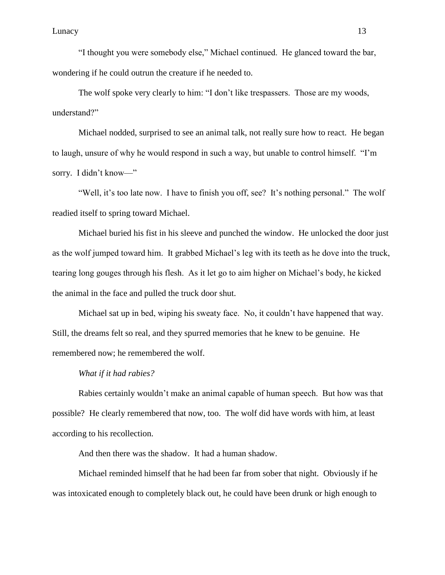"I thought you were somebody else," Michael continued. He glanced toward the bar, wondering if he could outrun the creature if he needed to.

The wolf spoke very clearly to him: "I don't like trespassers. Those are my woods, understand?"

Michael nodded, surprised to see an animal talk, not really sure how to react. He began to laugh, unsure of why he would respond in such a way, but unable to control himself. "I'm sorry. I didn't know—"

"Well, it's too late now. I have to finish you off, see? It's nothing personal." The wolf readied itself to spring toward Michael.

Michael buried his fist in his sleeve and punched the window. He unlocked the door just as the wolf jumped toward him. It grabbed Michael's leg with its teeth as he dove into the truck, tearing long gouges through his flesh. As it let go to aim higher on Michael's body, he kicked the animal in the face and pulled the truck door shut.

Michael sat up in bed, wiping his sweaty face. No, it couldn't have happened that way. Still, the dreams felt so real, and they spurred memories that he knew to be genuine. He remembered now; he remembered the wolf.

### *What if it had rabies?*

Rabies certainly wouldn't make an animal capable of human speech. But how was that possible? He clearly remembered that now, too. The wolf did have words with him, at least according to his recollection.

And then there was the shadow. It had a human shadow.

Michael reminded himself that he had been far from sober that night. Obviously if he was intoxicated enough to completely black out, he could have been drunk or high enough to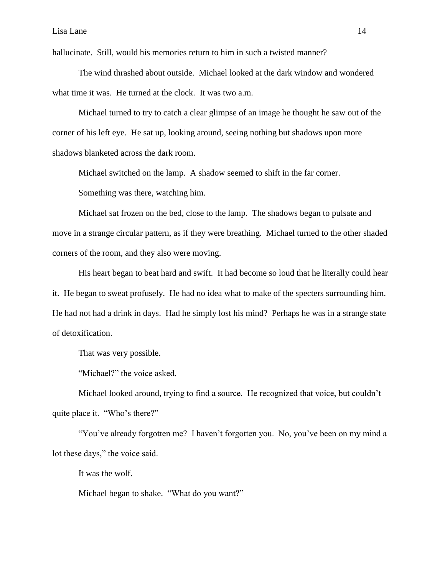hallucinate. Still, would his memories return to him in such a twisted manner?

The wind thrashed about outside. Michael looked at the dark window and wondered what time it was. He turned at the clock. It was two a.m.

Michael turned to try to catch a clear glimpse of an image he thought he saw out of the corner of his left eye. He sat up, looking around, seeing nothing but shadows upon more shadows blanketed across the dark room.

Michael switched on the lamp. A shadow seemed to shift in the far corner.

Something was there, watching him.

Michael sat frozen on the bed, close to the lamp. The shadows began to pulsate and move in a strange circular pattern, as if they were breathing. Michael turned to the other shaded corners of the room, and they also were moving.

His heart began to beat hard and swift. It had become so loud that he literally could hear it. He began to sweat profusely. He had no idea what to make of the specters surrounding him. He had not had a drink in days. Had he simply lost his mind? Perhaps he was in a strange state of detoxification.

That was very possible.

"Michael?" the voice asked.

Michael looked around, trying to find a source. He recognized that voice, but couldn't quite place it. "Who's there?"

"You've already forgotten me? I haven't forgotten you. No, you've been on my mind a lot these days," the voice said.

It was the wolf.

Michael began to shake. "What do you want?"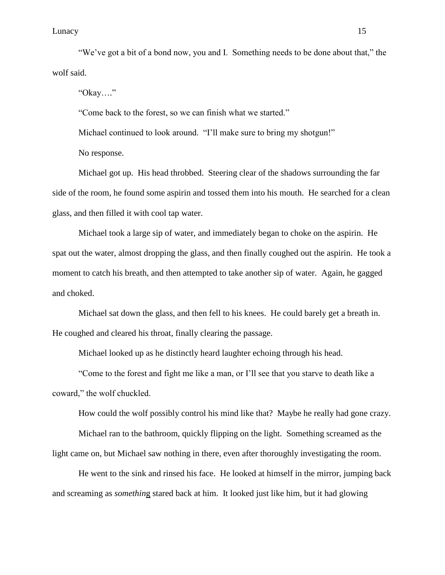### Lunacy and the contract of the contract of the contract of the contract of the contract of the contract of the contract of the contract of the contract of the contract of the contract of the contract of the contract of the

"We've got a bit of a bond now, you and I. Something needs to be done about that," the wolf said.

―Okay….‖

"Come back to the forest, so we can finish what we started."

Michael continued to look around. "I'll make sure to bring my shotgun!"

No response.

Michael got up. His head throbbed. Steering clear of the shadows surrounding the far side of the room, he found some aspirin and tossed them into his mouth. He searched for a clean glass, and then filled it with cool tap water.

Michael took a large sip of water, and immediately began to choke on the aspirin. He spat out the water, almost dropping the glass, and then finally coughed out the aspirin. He took a moment to catch his breath, and then attempted to take another sip of water. Again, he gagged and choked.

Michael sat down the glass, and then fell to his knees. He could barely get a breath in. He coughed and cleared his throat, finally clearing the passage.

Michael looked up as he distinctly heard laughter echoing through his head.

―Come to the forest and fight me like a man, or I'll see that you starve to death like a coward," the wolf chuckled.

How could the wolf possibly control his mind like that? Maybe he really had gone crazy.

Michael ran to the bathroom, quickly flipping on the light. Something screamed as the light came on, but Michael saw nothing in there, even after thoroughly investigating the room.

He went to the sink and rinsed his face. He looked at himself in the mirror, jumping back and screaming as *somethin*g stared back at him. It looked just like him, but it had glowing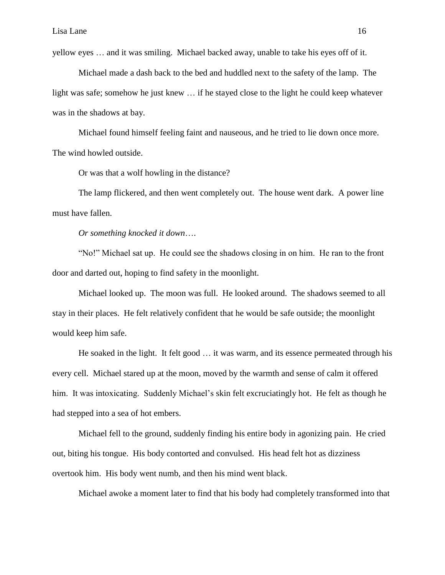yellow eyes … and it was smiling. Michael backed away, unable to take his eyes off of it.

Michael made a dash back to the bed and huddled next to the safety of the lamp. The light was safe; somehow he just knew … if he stayed close to the light he could keep whatever was in the shadows at bay.

Michael found himself feeling faint and nauseous, and he tried to lie down once more. The wind howled outside.

Or was that a wolf howling in the distance?

The lamp flickered, and then went completely out. The house went dark. A power line must have fallen.

*Or something knocked it down*….

"No!" Michael sat up. He could see the shadows closing in on him. He ran to the front door and darted out, hoping to find safety in the moonlight.

Michael looked up. The moon was full. He looked around. The shadows seemed to all stay in their places. He felt relatively confident that he would be safe outside; the moonlight would keep him safe.

He soaked in the light. It felt good … it was warm, and its essence permeated through his every cell. Michael stared up at the moon, moved by the warmth and sense of calm it offered him. It was intoxicating. Suddenly Michael's skin felt excruciatingly hot. He felt as though he had stepped into a sea of hot embers.

Michael fell to the ground, suddenly finding his entire body in agonizing pain. He cried out, biting his tongue. His body contorted and convulsed. His head felt hot as dizziness overtook him. His body went numb, and then his mind went black.

Michael awoke a moment later to find that his body had completely transformed into that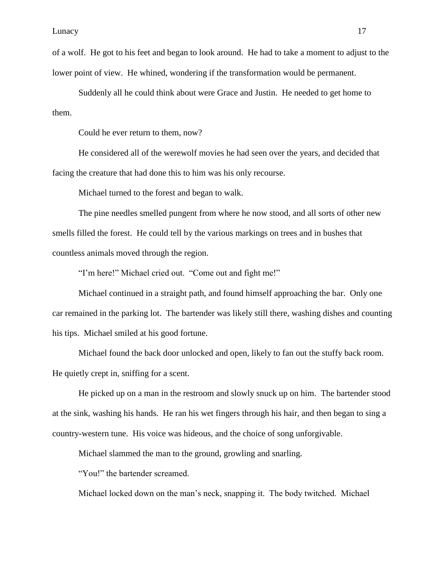of a wolf. He got to his feet and began to look around. He had to take a moment to adjust to the lower point of view. He whined, wondering if the transformation would be permanent.

Suddenly all he could think about were Grace and Justin. He needed to get home to them.

Could he ever return to them, now?

He considered all of the werewolf movies he had seen over the years, and decided that facing the creature that had done this to him was his only recourse.

Michael turned to the forest and began to walk.

The pine needles smelled pungent from where he now stood, and all sorts of other new smells filled the forest. He could tell by the various markings on trees and in bushes that countless animals moved through the region.

"I'm here!" Michael cried out. "Come out and fight me!"

Michael continued in a straight path, and found himself approaching the bar. Only one car remained in the parking lot. The bartender was likely still there, washing dishes and counting his tips. Michael smiled at his good fortune.

Michael found the back door unlocked and open, likely to fan out the stuffy back room. He quietly crept in, sniffing for a scent.

He picked up on a man in the restroom and slowly snuck up on him. The bartender stood at the sink, washing his hands. He ran his wet fingers through his hair, and then began to sing a country-western tune. His voice was hideous, and the choice of song unforgivable.

Michael slammed the man to the ground, growling and snarling.

"You!" the bartender screamed.

Michael locked down on the man's neck, snapping it. The body twitched. Michael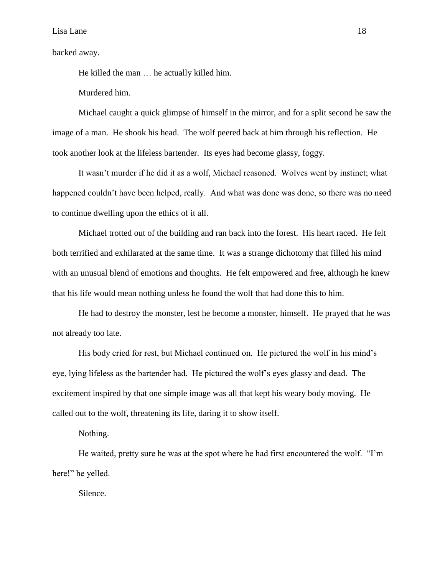backed away.

He killed the man … he actually killed him.

Murdered him.

Michael caught a quick glimpse of himself in the mirror, and for a split second he saw the image of a man. He shook his head. The wolf peered back at him through his reflection. He took another look at the lifeless bartender. Its eyes had become glassy, foggy.

It wasn't murder if he did it as a wolf, Michael reasoned. Wolves went by instinct; what happened couldn't have been helped, really. And what was done was done, so there was no need to continue dwelling upon the ethics of it all.

Michael trotted out of the building and ran back into the forest. His heart raced. He felt both terrified and exhilarated at the same time. It was a strange dichotomy that filled his mind with an unusual blend of emotions and thoughts. He felt empowered and free, although he knew that his life would mean nothing unless he found the wolf that had done this to him.

He had to destroy the monster, lest he become a monster, himself. He prayed that he was not already too late.

His body cried for rest, but Michael continued on. He pictured the wolf in his mind's eye, lying lifeless as the bartender had. He pictured the wolf's eyes glassy and dead. The excitement inspired by that one simple image was all that kept his weary body moving. He called out to the wolf, threatening its life, daring it to show itself.

Nothing.

He waited, pretty sure he was at the spot where he had first encountered the wolf. "I'm here!" he yelled.

Silence.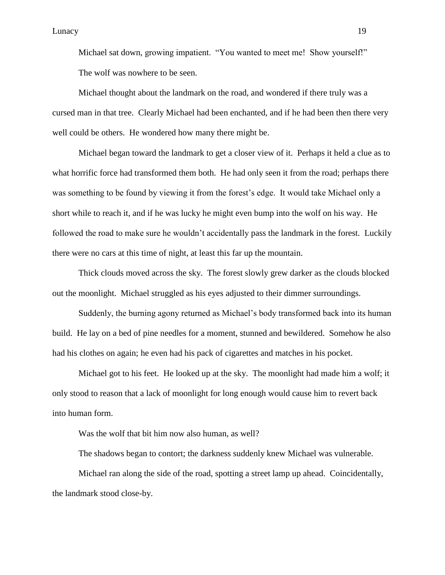Michael sat down, growing impatient. "You wanted to meet me! Show yourself!" The wolf was nowhere to be seen.

Michael thought about the landmark on the road, and wondered if there truly was a cursed man in that tree. Clearly Michael had been enchanted, and if he had been then there very well could be others. He wondered how many there might be.

Michael began toward the landmark to get a closer view of it. Perhaps it held a clue as to what horrific force had transformed them both. He had only seen it from the road; perhaps there was something to be found by viewing it from the forest's edge. It would take Michael only a short while to reach it, and if he was lucky he might even bump into the wolf on his way. He followed the road to make sure he wouldn't accidentally pass the landmark in the forest. Luckily there were no cars at this time of night, at least this far up the mountain.

Thick clouds moved across the sky. The forest slowly grew darker as the clouds blocked out the moonlight. Michael struggled as his eyes adjusted to their dimmer surroundings.

Suddenly, the burning agony returned as Michael's body transformed back into its human build. He lay on a bed of pine needles for a moment, stunned and bewildered. Somehow he also had his clothes on again; he even had his pack of cigarettes and matches in his pocket.

Michael got to his feet. He looked up at the sky. The moonlight had made him a wolf; it only stood to reason that a lack of moonlight for long enough would cause him to revert back into human form.

Was the wolf that bit him now also human, as well?

The shadows began to contort; the darkness suddenly knew Michael was vulnerable.

Michael ran along the side of the road, spotting a street lamp up ahead. Coincidentally, the landmark stood close-by.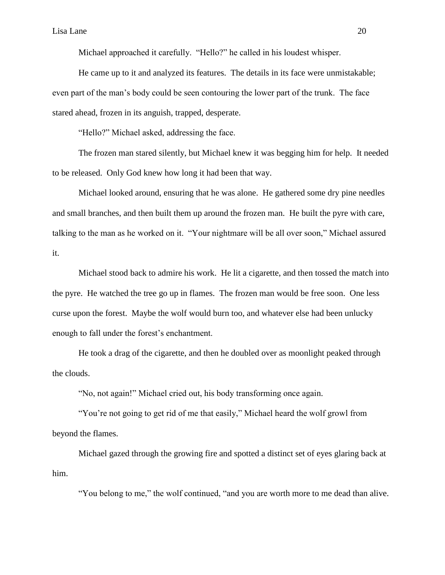Michael approached it carefully. "Hello?" he called in his loudest whisper.

He came up to it and analyzed its features. The details in its face were unmistakable; even part of the man's body could be seen contouring the lower part of the trunk. The face stared ahead, frozen in its anguish, trapped, desperate.

"Hello?" Michael asked, addressing the face.

The frozen man stared silently, but Michael knew it was begging him for help. It needed to be released. Only God knew how long it had been that way.

Michael looked around, ensuring that he was alone. He gathered some dry pine needles and small branches, and then built them up around the frozen man. He built the pyre with care, talking to the man as he worked on it. "Your nightmare will be all over soon," Michael assured it.

Michael stood back to admire his work. He lit a cigarette, and then tossed the match into the pyre. He watched the tree go up in flames. The frozen man would be free soon. One less curse upon the forest. Maybe the wolf would burn too, and whatever else had been unlucky enough to fall under the forest's enchantment.

He took a drag of the cigarette, and then he doubled over as moonlight peaked through the clouds.

―No, not again!‖ Michael cried out, his body transforming once again.

"You're not going to get rid of me that easily," Michael heard the wolf growl from beyond the flames.

Michael gazed through the growing fire and spotted a distinct set of eyes glaring back at him.

"You belong to me," the wolf continued, "and you are worth more to me dead than alive.